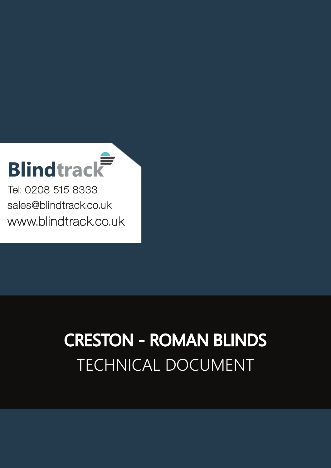# **Blindtrack**

Tel: 0208 515 8333 [sales@blindtrack.co.uk](mailto:sales%40blindtrack.co.uk?subject=) [www.blindtrack.co.uk](http://www.blindtrack.co.uk)

# TECHNICAL DOCUMENT CRESTON - ROMAN BLINDS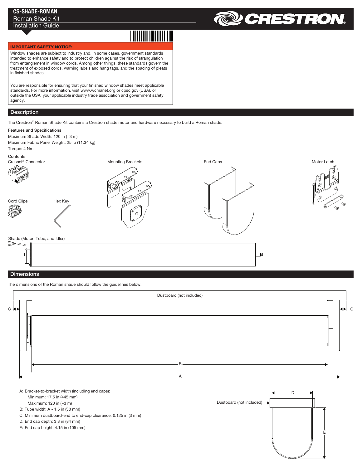## CS-SHADE-ROMAN Roman Shade Kit

### Installation Guide



#### IMPORTANT SAFETY NOTICE:

Window shades are subject to industry and, in some cases, government standards intended to enhance safety and to protect children against the risk of strangulation from entanglement in window cords. Among other things, these standards govern the treatment of exposed cords, warning labels and hang tags, and the spacing of pleats in finished shades.

You are responsible for ensuring that your finished window shades meet applicable standards. For more information, visit www.wcmanet.org or cpsc.gov (USA), or outside the USA, your applicable industry trade association and government safety agency.

#### **Description**

The Crestron® Roman Shade Kit contains a Crestron shade motor and hardware necessary to build a Roman shade.

#### Features and Specifications

Maximum Shade Width: 120 in (~3 m) Maximum Fabric Panel Weight: 25 lb (11.34 kg) Torque: 4 Nm

**Contents** 



#### **Dimensions**

The dimensions of the Roman shade should follow the guidelines below.



A: Bracket-to-bracket width (including end caps): Minimum: 17.5 in (445 mm) Maximum: 120 in (~3 m)

B: Tube width: A - 1.5 in (38 mm)

C: Minimum dustboard-end to end-cap clearance: 0.125 in (3 mm)

D: End cap depth: 3.3 in (84 mm)

E: End cap height: 4.15 in (105 mm)